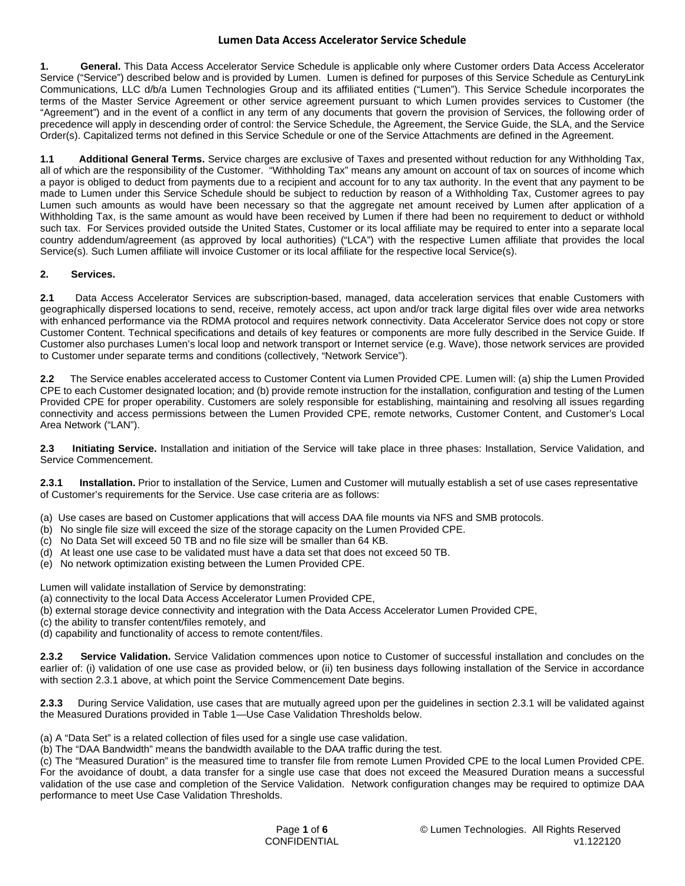**1. General.** This Data Access Accelerator Service Schedule is applicable only where Customer orders Data Access Accelerator Service ("Service") described below and is provided by Lumen. Lumen is defined for purposes of this Service Schedule as CenturyLink Communications, LLC d/b/a Lumen Technologies Group and its affiliated entities ("Lumen"). This Service Schedule incorporates the terms of the Master Service Agreement or other service agreement pursuant to which Lumen provides services to Customer (the "Agreement") and in the event of a conflict in any term of any documents that govern the provision of Services, the following order of precedence will apply in descending order of control: the Service Schedule, the Agreement, the Service Guide, the SLA, and the Service Order(s). Capitalized terms not defined in this Service Schedule or one of the Service Attachments are defined in the Agreement.

**1.1 Additional General Terms.** Service charges are exclusive of Taxes and presented without reduction for any Withholding Tax, all of which are the responsibility of the Customer. "Withholding Tax" means any amount on account of tax on sources of income which a payor is obliged to deduct from payments due to a recipient and account for to any tax authority. In the event that any payment to be made to Lumen under this Service Schedule should be subject to reduction by reason of a Withholding Tax, Customer agrees to pay Lumen such amounts as would have been necessary so that the aggregate net amount received by Lumen after application of a Withholding Tax, is the same amount as would have been received by Lumen if there had been no requirement to deduct or withhold such tax. For Services provided outside the United States, Customer or its local affiliate may be required to enter into a separate local country addendum/agreement (as approved by local authorities) ("LCA") with the respective Lumen affiliate that provides the local Service(s). Such Lumen affiliate will invoice Customer or its local affiliate for the respective local Service(s).

# **2. Services.**

**2.1** Data Access Accelerator Services are subscription-based, managed, data acceleration services that enable Customers with geographically dispersed locations to send, receive, remotely access, act upon and/or track large digital files over wide area networks with enhanced performance via the RDMA protocol and requires network connectivity. Data Accelerator Service does not copy or store Customer Content. Technical specifications and details of key features or components are more fully described in the Service Guide. If Customer also purchases Lumen's local loop and network transport or Internet service (e.g. Wave), those network services are provided to Customer under separate terms and conditions (collectively, "Network Service").

**2.2** The Service enables accelerated access to Customer Content via Lumen Provided CPE. Lumen will: (a) ship the Lumen Provided CPE to each Customer designated location; and (b) provide remote instruction for the installation, configuration and testing of the Lumen Provided CPE for proper operability. Customers are solely responsible for establishing, maintaining and resolving all issues regarding connectivity and access permissions between the Lumen Provided CPE, remote networks, Customer Content, and Customer's Local Area Network ("LAN").

**2.3 Initiating Service.** Installation and initiation of the Service will take place in three phases: Installation, Service Validation, and Service Commencement.

**2.3.1 Installation.** Prior to installation of the Service, Lumen and Customer will mutually establish a set of use cases representative of Customer's requirements for the Service. Use case criteria are as follows:

- (a) Use cases are based on Customer applications that will access DAA file mounts via NFS and SMB protocols.
- (b) No single file size will exceed the size of the storage capacity on the Lumen Provided CPE.
- (c) No Data Set will exceed 50 TB and no file size will be smaller than 64 KB.
- (d) At least one use case to be validated must have a data set that does not exceed 50 TB.
- (e) No network optimization existing between the Lumen Provided CPE.

Lumen will validate installation of Service by demonstrating:

- (a) connectivity to the local Data Access Accelerator Lumen Provided CPE,
- (b) external storage device connectivity and integration with the Data Access Accelerator Lumen Provided CPE,
- (c) the ability to transfer content/files remotely, and
- (d) capability and functionality of access to remote content/files.

**2.3.2 Service Validation.** Service Validation commences upon notice to Customer of successful installation and concludes on the earlier of: (i) validation of one use case as provided below, or (ii) ten business days following installation of the Service in accordance with section 2.3.1 above, at which point the Service Commencement Date begins.

**2.3.3** During Service Validation, use cases that are mutually agreed upon per the guidelines in section 2.3.1 will be validated against the Measured Durations provided in Table 1—Use Case Validation Thresholds below.

(a) A "Data Set" is a related collection of files used for a single use case validation.

(b) The "DAA Bandwidth" means the bandwidth available to the DAA traffic during the test.

(c) The "Measured Duration" is the measured time to transfer file from remote Lumen Provided CPE to the local Lumen Provided CPE. For the avoidance of doubt, a data transfer for a single use case that does not exceed the Measured Duration means a successful validation of the use case and completion of the Service Validation. Network configuration changes may be required to optimize DAA performance to meet Use Case Validation Thresholds.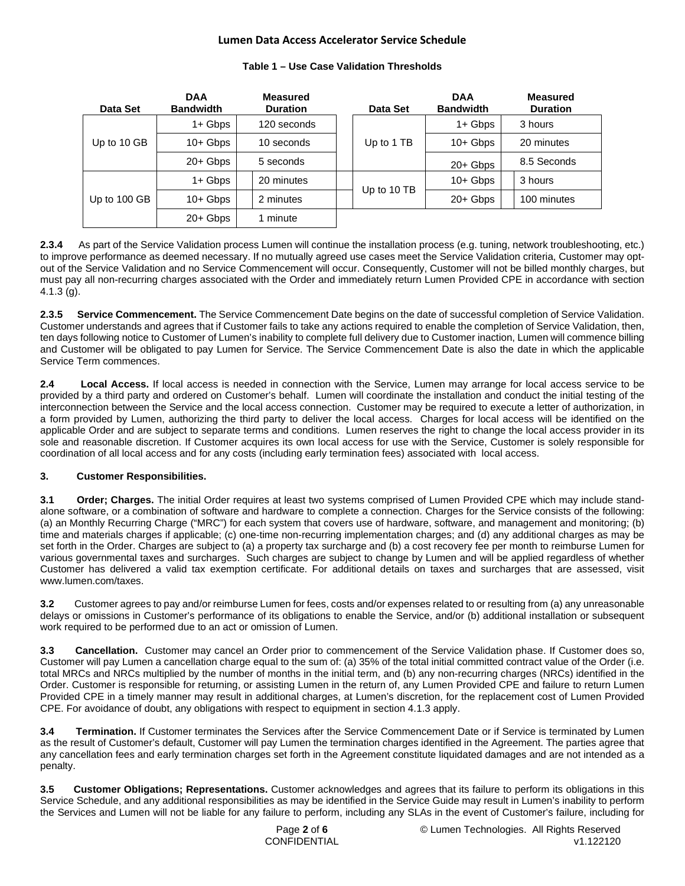| Data Set     | <b>DAA</b><br><b>Bandwidth</b> | <b>Measured</b><br><b>Duration</b> |  | Data Set    | <b>DAA</b><br><b>Bandwidth</b> | <b>Measured</b><br><b>Duration</b> |
|--------------|--------------------------------|------------------------------------|--|-------------|--------------------------------|------------------------------------|
| Up to 10 GB  | $1 +$ Gbps                     | 120 seconds                        |  | Up to 1 TB  | $1+$ Gbps                      | 3 hours                            |
|              | $10+$ Gbps                     | 10 seconds                         |  |             | $10+Gbps$                      | 20 minutes                         |
|              | $20+Gbps$                      | 5 seconds                          |  |             | $20+Gbps$                      | 8.5 Seconds                        |
| Up to 100 GB | 1+ Gbps                        | 20 minutes                         |  | Up to 10 TB | $10+$ Gbps                     | 3 hours                            |
|              | $10+$ Gbps                     | 2 minutes                          |  |             | $20+Gbps$                      | 100 minutes                        |
|              | $20+Gbps$                      | 1 minute                           |  |             |                                |                                    |

## **Table 1 – Use Case Validation Thresholds**

**2.3.4** As part of the Service Validation process Lumen will continue the installation process (e.g. tuning, network troubleshooting, etc.) to improve performance as deemed necessary. If no mutually agreed use cases meet the Service Validation criteria, Customer may optout of the Service Validation and no Service Commencement will occur. Consequently, Customer will not be billed monthly charges, but must pay all non-recurring charges associated with the Order and immediately return Lumen Provided CPE in accordance with section 4.1.3 (g).

**2.3.5 Service Commencement.** The Service Commencement Date begins on the date of successful completion of Service Validation. Customer understands and agrees that if Customer fails to take any actions required to enable the completion of Service Validation, then, ten days following notice to Customer of Lumen's inability to complete full delivery due to Customer inaction, Lumen will commence billing and Customer will be obligated to pay Lumen for Service. The Service Commencement Date is also the date in which the applicable Service Term commences.

**2.4 Local Access.** If local access is needed in connection with the Service, Lumen may arrange for local access service to be provided by a third party and ordered on Customer's behalf. Lumen will coordinate the installation and conduct the initial testing of the interconnection between the Service and the local access connection. Customer may be required to execute a letter of authorization, in a form provided by Lumen, authorizing the third party to deliver the local access. Charges for local access will be identified on the applicable Order and are subject to separate terms and conditions. Lumen reserves the right to change the local access provider in its sole and reasonable discretion. If Customer acquires its own local access for use with the Service, Customer is solely responsible for coordination of all local access and for any costs (including early termination fees) associated with local access.

# **3. Customer Responsibilities.**

**3.1 Order; Charges.** The initial Order requires at least two systems comprised of Lumen Provided CPE which may include standalone software, or a combination of software and hardware to complete a connection. Charges for the Service consists of the following: (a) an Monthly Recurring Charge ("MRC") for each system that covers use of hardware, software, and management and monitoring; (b) time and materials charges if applicable; (c) one-time non-recurring implementation charges; and (d) any additional charges as may be set forth in the Order. Charges are subject to (a) a property tax surcharge and (b) a cost recovery fee per month to reimburse Lumen for various governmental taxes and surcharges. Such charges are subject to change by Lumen and will be applied regardless of whether Customer has delivered a valid tax exemption certificate. For additional details on taxes and surcharges that are assessed, visit [www.lumen.com/taxes](http://www.lumen.com/taxes).

**3.2** Customer agrees to pay and/or reimburse Lumen for fees, costs and/or expenses related to or resulting from (a) any unreasonable delays or omissions in Customer's performance of its obligations to enable the Service, and/or (b) additional installation or subsequent work required to be performed due to an act or omission of Lumen.

**3.3 Cancellation.** Customer may cancel an Order prior to commencement of the Service Validation phase. If Customer does so, Customer will pay Lumen a cancellation charge equal to the sum of: (a) 35% of the total initial committed contract value of the Order (i.e. total MRCs and NRCs multiplied by the number of months in the initial term, and (b) any non-recurring charges (NRCs) identified in the Order. Customer is responsible for returning, or assisting Lumen in the return of, any Lumen Provided CPE and failure to return Lumen Provided CPE in a timely manner may result in additional charges, at Lumen's discretion, for the replacement cost of Lumen Provided CPE. For avoidance of doubt, any obligations with respect to equipment in section 4.1.3 apply.

**3.4 Termination.** If Customer terminates the Services after the Service Commencement Date or if Service is terminated by Lumen as the result of Customer's default, Customer will pay Lumen the termination charges identified in the Agreement. The parties agree that any cancellation fees and early termination charges set forth in the Agreement constitute liquidated damages and are not intended as a penalty.

**3.5 Customer Obligations; Representations.** Customer acknowledges and agrees that its failure to perform its obligations in this Service Schedule, and any additional responsibilities as may be identified in the Service Guide may result in Lumen's inability to perform the Services and Lumen will not be liable for any failure to perform, including any SLAs in the event of Customer's failure, including for

Page **2** of **6** © Lumen Technologies. All Rights Reserved CONFIDENTIAL v1.122120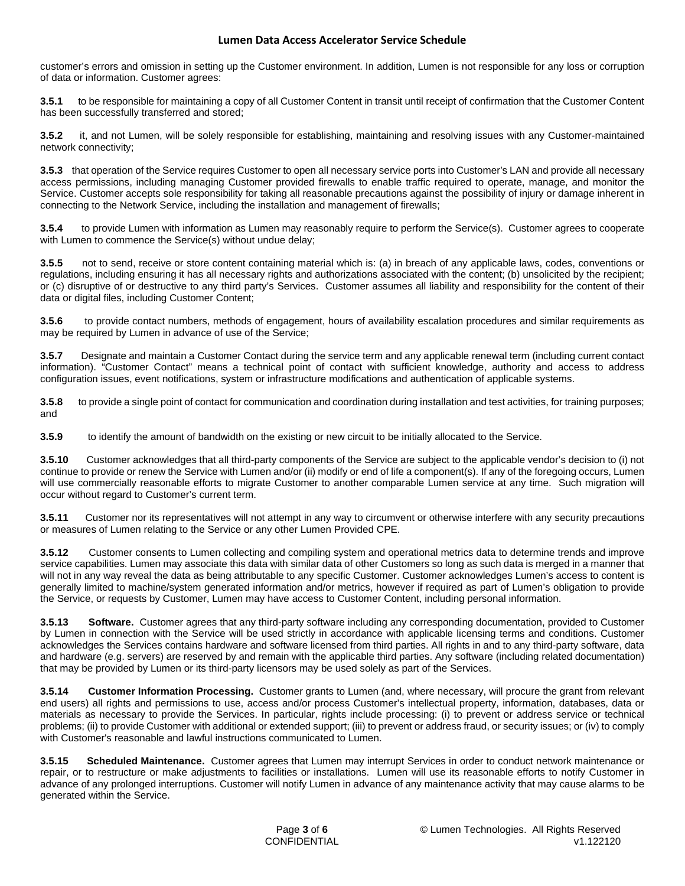customer's errors and omission in setting up the Customer environment. In addition, Lumen is not responsible for any loss or corruption of data or information. Customer agrees:

**3.5.1** to be responsible for maintaining a copy of all Customer Content in transit until receipt of confirmation that the Customer Content has been successfully transferred and stored;

**3.5.2** it, and not Lumen, will be solely responsible for establishing, maintaining and resolving issues with any Customer-maintained network connectivity;

**3.5.3** that operation of the Service requires Customer to open all necessary service ports into Customer's LAN and provide all necessary access permissions, including managing Customer provided firewalls to enable traffic required to operate, manage, and monitor the Service. Customer accepts sole responsibility for taking all reasonable precautions against the possibility of injury or damage inherent in connecting to the Network Service, including the installation and management of firewalls;

**3.5.4** to provide Lumen with information as Lumen may reasonably require to perform the Service(s). Customer agrees to cooperate with Lumen to commence the Service(s) without undue delay;

**3.5.5** not to send, receive or store content containing material which is: (a) in breach of any applicable laws, codes, conventions or regulations, including ensuring it has all necessary rights and authorizations associated with the content; (b) unsolicited by the recipient; or (c) disruptive of or destructive to any third party's Services. Customer assumes all liability and responsibility for the content of their data or digital files, including Customer Content;

**3.5.6** to provide contact numbers, methods of engagement, hours of availability escalation procedures and similar requirements as may be required by Lumen in advance of use of the Service;

**3.5.7** Designate and maintain a Customer Contact during the service term and any applicable renewal term (including current contact information). "Customer Contact" means a technical point of contact with sufficient knowledge, authority and access to address configuration issues, event notifications, system or infrastructure modifications and authentication of applicable systems.

**3.5.8** to provide a single point of contact for communication and coordination during installation and test activities, for training purposes; and

**3.5.9** to identify the amount of bandwidth on the existing or new circuit to be initially allocated to the Service.

**3.5.10** Customer acknowledges that all third-party components of the Service are subject to the applicable vendor's decision to (i) not continue to provide or renew the Service with Lumen and/or (ii) modify or end of life a component(s). If any of the foregoing occurs, Lumen will use commercially reasonable efforts to migrate Customer to another comparable Lumen service at any time. Such migration will occur without regard to Customer's current term.

**3.5.11** Customer nor its representatives will not attempt in any way to circumvent or otherwise interfere with any security precautions or measures of Lumen relating to the Service or any other Lumen Provided CPE.

**3.5.12** Customer consents to Lumen collecting and compiling system and operational metrics data to determine trends and improve service capabilities. Lumen may associate this data with similar data of other Customers so long as such data is merged in a manner that will not in any way reveal the data as being attributable to any specific Customer. Customer acknowledges Lumen's access to content is generally limited to machine/system generated information and/or metrics, however if required as part of Lumen's obligation to provide the Service, or requests by Customer, Lumen may have access to Customer Content, including personal information.

**3.5.13 Software.** Customer agrees that any third-party software including any corresponding documentation, provided to Customer by Lumen in connection with the Service will be used strictly in accordance with applicable licensing terms and conditions. Customer acknowledges the Services contains hardware and software licensed from third parties. All rights in and to any third-party software, data and hardware (e.g. servers) are reserved by and remain with the applicable third parties. Any software (including related documentation) that may be provided by Lumen or its third-party licensors may be used solely as part of the Services.

**3.5.14 Customer Information Processing.** Customer grants to Lumen (and, where necessary, will procure the grant from relevant end users) all rights and permissions to use, access and/or process Customer's intellectual property, information, databases, data or materials as necessary to provide the Services. In particular, rights include processing: (i) to prevent or address service or technical problems; (ii) to provide Customer with additional or extended support; (iii) to prevent or address fraud, or security issues; or (iv) to comply with Customer's reasonable and lawful instructions communicated to Lumen.

**3.5.15 Scheduled Maintenance.** Customer agrees that Lumen may interrupt Services in order to conduct network maintenance or repair, or to restructure or make adjustments to facilities or installations. Lumen will use its reasonable efforts to notify Customer in advance of any prolonged interruptions. Customer will notify Lumen in advance of any maintenance activity that may cause alarms to be generated within the Service.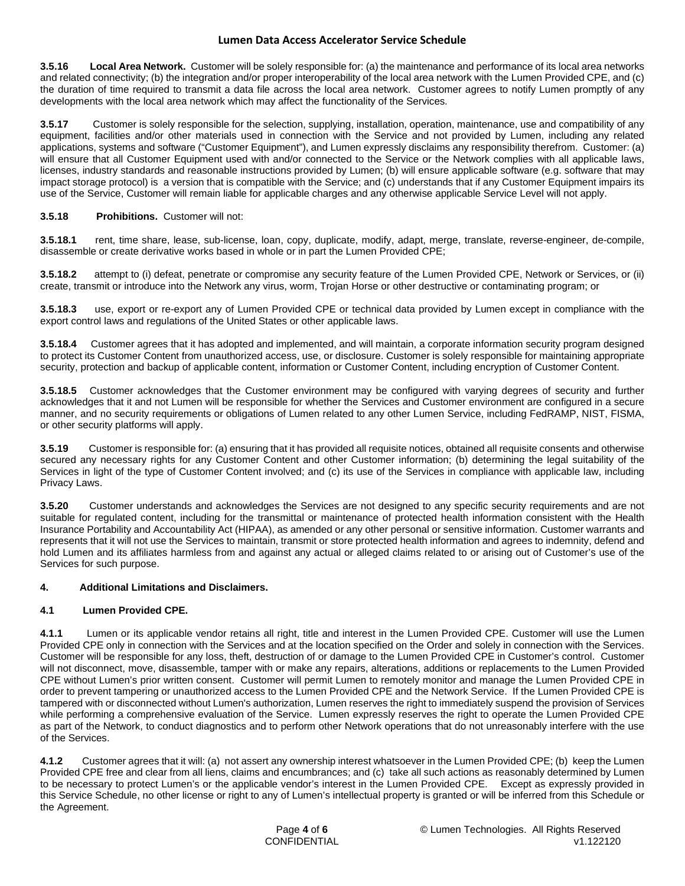**3.5.16 Local Area Network.** Customer will be solely responsible for: (a) the maintenance and performance of its local area networks and related connectivity; (b) the integration and/or proper interoperability of the local area network with the Lumen Provided CPE, and (c) the duration of time required to transmit a data file across the local area network. Customer agrees to notify Lumen promptly of any developments with the local area network which may affect the functionality of the Services.

**3.5.17** Customer is solely responsible for the selection, supplying, installation, operation, maintenance, use and compatibility of any equipment, facilities and/or other materials used in connection with the Service and not provided by Lumen, including any related applications, systems and software ("Customer Equipment"), and Lumen expressly disclaims any responsibility therefrom. Customer: (a) will ensure that all Customer Equipment used with and/or connected to the Service or the Network complies with all applicable laws, licenses, industry standards and reasonable instructions provided by Lumen; (b) will ensure applicable software (e.g. software that may impact storage protocol) is a version that is compatible with the Service; and (c) understands that if any Customer Equipment impairs its use of the Service, Customer will remain liable for applicable charges and any otherwise applicable Service Level will not apply.

## **3.5.18 Prohibitions.** Customer will not:

**3.5.18.1** rent, time share, lease, sub-license, loan, copy, duplicate, modify, adapt, merge, translate, reverse-engineer, de-compile, disassemble or create derivative works based in whole or in part the Lumen Provided CPE;

**3.5.18.2** attempt to (i) defeat, penetrate or compromise any security feature of the Lumen Provided CPE, Network or Services, or (ii) create, transmit or introduce into the Network any virus, worm, Trojan Horse or other destructive or contaminating program; or

**3.5.18.3** use, export or re-export any of Lumen Provided CPE or technical data provided by Lumen except in compliance with the export control laws and regulations of the United States or other applicable laws.

**3.5.18.4** Customer agrees that it has adopted and implemented, and will maintain, a corporate information security program designed to protect its Customer Content from unauthorized access, use, or disclosure. Customer is solely responsible for maintaining appropriate security, protection and backup of applicable content, information or Customer Content, including encryption of Customer Content.

**3.5.18.5** Customer acknowledges that the Customer environment may be configured with varying degrees of security and further acknowledges that it and not Lumen will be responsible for whether the Services and Customer environment are configured in a secure manner, and no security requirements or obligations of Lumen related to any other Lumen Service, including FedRAMP, NIST, FISMA, or other security platforms will apply.

**3.5.19** Customer is responsible for: (a) ensuring that it has provided all requisite notices, obtained all requisite consents and otherwise secured any necessary rights for any Customer Content and other Customer information; (b) determining the legal suitability of the Services in light of the type of Customer Content involved; and (c) its use of the Services in compliance with applicable law, including Privacy Laws.

**3.5.20** Customer understands and acknowledges the Services are not designed to any specific security requirements and are not suitable for regulated content, including for the transmittal or maintenance of protected health information consistent with the Health Insurance Portability and Accountability Act (HIPAA), as amended or any other personal or sensitive information. Customer warrants and represents that it will not use the Services to maintain, transmit or store protected health information and agrees to indemnity, defend and hold Lumen and its affiliates harmless from and against any actual or alleged claims related to or arising out of Customer's use of the Services for such purpose.

### **4. Additional Limitations and Disclaimers.**

# **4.1 Lumen Provided CPE.**

**4.1.1** Lumen or its applicable vendor retains all right, title and interest in the Lumen Provided CPE. Customer will use the Lumen Provided CPE only in connection with the Services and at the location specified on the Order and solely in connection with the Services. Customer will be responsible for any loss, theft, destruction of or damage to the Lumen Provided CPE in Customer's control. Customer will not disconnect, move, disassemble, tamper with or make any repairs, alterations, additions or replacements to the Lumen Provided CPE without Lumen's prior written consent. Customer will permit Lumen to remotely monitor and manage the Lumen Provided CPE in order to prevent tampering or unauthorized access to the Lumen Provided CPE and the Network Service. If the Lumen Provided CPE is tampered with or disconnected without Lumen's authorization, Lumen reserves the right to immediately suspend the provision of Services while performing a comprehensive evaluation of the Service. Lumen expressly reserves the right to operate the Lumen Provided CPE as part of the Network, to conduct diagnostics and to perform other Network operations that do not unreasonably interfere with the use of the Services.

**4.1.2** Customer agrees that it will: (a) not assert any ownership interest whatsoever in the Lumen Provided CPE; (b) keep the Lumen Provided CPE free and clear from all liens, claims and encumbrances; and (c) take all such actions as reasonably determined by Lumen to be necessary to protect Lumen's or the applicable vendor's interest in the Lumen Provided CPE. Except as expressly provided in this Service Schedule, no other license or right to any of Lumen's intellectual property is granted or will be inferred from this Schedule or the Agreement.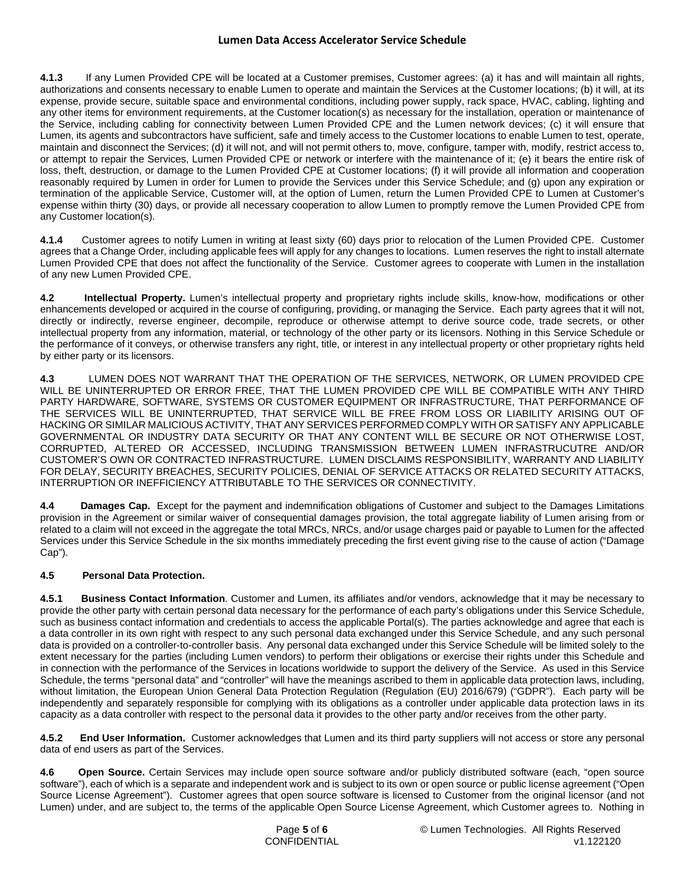**4.1.3** If any Lumen Provided CPE will be located at a Customer premises, Customer agrees: (a) it has and will maintain all rights, authorizations and consents necessary to enable Lumen to operate and maintain the Services at the Customer locations; (b) it will, at its expense, provide secure, suitable space and environmental conditions, including power supply, rack space, HVAC, cabling, lighting and any other items for environment requirements, at the Customer location(s) as necessary for the installation, operation or maintenance of the Service, including cabling for connectivity between Lumen Provided CPE and the Lumen network devices; (c) it will ensure that Lumen, its agents and subcontractors have sufficient, safe and timely access to the Customer locations to enable Lumen to test, operate, maintain and disconnect the Services; (d) it will not, and will not permit others to, move, configure, tamper with, modify, restrict access to, or attempt to repair the Services, Lumen Provided CPE or network or interfere with the maintenance of it; (e) it bears the entire risk of loss, theft, destruction, or damage to the Lumen Provided CPE at Customer locations; (f) it will provide all information and cooperation reasonably required by Lumen in order for Lumen to provide the Services under this Service Schedule; and (g) upon any expiration or termination of the applicable Service, Customer will, at the option of Lumen, return the Lumen Provided CPE to Lumen at Customer's expense within thirty (30) days, or provide all necessary cooperation to allow Lumen to promptly remove the Lumen Provided CPE from any Customer location(s).

**4.1.4** Customer agrees to notify Lumen in writing at least sixty (60) days prior to relocation of the Lumen Provided CPE. Customer agrees that a Change Order, including applicable fees will apply for any changes to locations. Lumen reserves the right to install alternate Lumen Provided CPE that does not affect the functionality of the Service. Customer agrees to cooperate with Lumen in the installation of any new Lumen Provided CPE.

**4.2 Intellectual Property.** Lumen's intellectual property and proprietary rights include skills, know-how, modifications or other enhancements developed or acquired in the course of configuring, providing, or managing the Service. Each party agrees that it will not, directly or indirectly, reverse engineer, decompile, reproduce or otherwise attempt to derive source code, trade secrets, or other intellectual property from any information, material, or technology of the other party or its licensors. Nothing in this Service Schedule or the performance of it conveys, or otherwise transfers any right, title, or interest in any intellectual property or other proprietary rights held by either party or its licensors.

**4.3** LUMEN DOES NOT WARRANT THAT THE OPERATION OF THE SERVICES, NETWORK, OR LUMEN PROVIDED CPE WILL BE UNINTERRUPTED OR ERROR FREE, THAT THE LUMEN PROVIDED CPE WILL BE COMPATIBLE WITH ANY THIRD PARTY HARDWARE, SOFTWARE, SYSTEMS OR CUSTOMER EQUIPMENT OR INFRASTRUCTURE, THAT PERFORMANCE OF THE SERVICES WILL BE UNINTERRUPTED, THAT SERVICE WILL BE FREE FROM LOSS OR LIABILITY ARISING OUT OF HACKING OR SIMILAR MALICIOUS ACTIVITY, THAT ANY SERVICES PERFORMED COMPLY WITH OR SATISFY ANY APPLICABLE GOVERNMENTAL OR INDUSTRY DATA SECURITY OR THAT ANY CONTENT WILL BE SECURE OR NOT OTHERWISE LOST, CORRUPTED, ALTERED OR ACCESSED, INCLUDING TRANSMISSION BETWEEN LUMEN INFRASTRUCUTRE AND/OR CUSTOMER'S OWN OR CONTRACTED INFRASTRUCTURE. LUMEN DISCLAIMS RESPONSIBILITY, WARRANTY AND LIABILITY FOR DELAY, SECURITY BREACHES, SECURITY POLICIES, DENIAL OF SERVICE ATTACKS OR RELATED SECURITY ATTACKS, INTERRUPTION OR INEFFICIENCY ATTRIBUTABLE TO THE SERVICES OR CONNECTIVITY.

**4.4 Damages Cap.** Except for the payment and indemnification obligations of Customer and subject to the Damages Limitations provision in the Agreement or similar waiver of consequential damages provision, the total aggregate liability of Lumen arising from or related to a claim will not exceed in the aggregate the total MRCs, NRCs, and/or usage charges paid or payable to Lumen for the affected Services under this Service Schedule in the six months immediately preceding the first event giving rise to the cause of action ("Damage Cap").

# **4.5 Personal Data Protection.**

**4.5.1 Business Contact Information**. Customer and Lumen, its affiliates and/or vendors, acknowledge that it may be necessary to provide the other party with certain personal data necessary for the performance of each party's obligations under this Service Schedule, such as business contact information and credentials to access the applicable Portal(s). The parties acknowledge and agree that each is a data controller in its own right with respect to any such personal data exchanged under this Service Schedule, and any such personal data is provided on a controller-to-controller basis. Any personal data exchanged under this Service Schedule will be limited solely to the extent necessary for the parties (including Lumen vendors) to perform their obligations or exercise their rights under this Schedule and in connection with the performance of the Services in locations worldwide to support the delivery of the Service. As used in this Service Schedule, the terms "personal data" and "controller" will have the meanings ascribed to them in applicable data protection laws, including, without limitation, the European Union General Data Protection Regulation (Regulation (EU) 2016/679) ("GDPR"). Each party will be independently and separately responsible for complying with its obligations as a controller under applicable data protection laws in its capacity as a data controller with respect to the personal data it provides to the other party and/or receives from the other party.

**4.5.2 End User Information.** Customer acknowledges that Lumen and its third party suppliers will not access or store any personal data of end users as part of the Services.

**4.6 Open Source.** Certain Services may include open source software and/or publicly distributed software (each, "open source software"), each of which is a separate and independent work and is subject to its own or open source or public license agreement ("Open Source License Agreement"). Customer agrees that open source software is licensed to Customer from the original licensor (and not Lumen) under, and are subject to, the terms of the applicable Open Source License Agreement, which Customer agrees to. Nothing in

Page **5** of **6** © Lumen Technologies. All Rights Reserved CONFIDENTIAL v1.122120